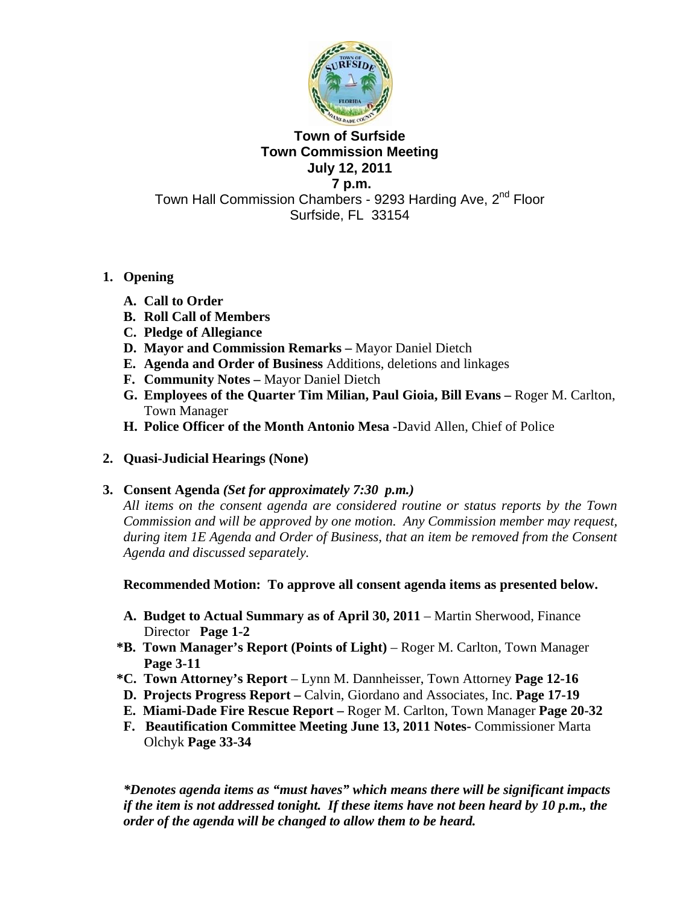

# **Town of Surfside Town Commission Meeting July 12, 2011 7 p.m.**

Town Hall Commission Chambers - 9293 Harding Ave, 2<sup>nd</sup> Floor Surfside, FL 33154

# **1. Opening**

- **A. Call to Order**
- **B. Roll Call of Members**
- **C. Pledge of Allegiance**
- **D. Mayor and Commission Remarks** Mayor Daniel Dietch
- **E. Agenda and Order of Business** Additions, deletions and linkages
- **F. Community Notes** Mayor Daniel Dietch
- **G. Employees of the Quarter Tim Milian, Paul Gioia, Bill Evans** Roger M. Carlton, Town Manager
- **H. Police Officer of the Month Antonio Mesa -**David Allen, Chief of Police
- **2. Quasi-Judicial Hearings (None)**

# **3. Consent Agenda** *(Set for approximately 7:30 p.m.)*

*All items on the consent agenda are considered routine or status reports by the Town Commission and will be approved by one motion. Any Commission member may request, during item 1E Agenda and Order of Business, that an item be removed from the Consent Agenda and discussed separately.* 

**Recommended Motion: To approve all consent agenda items as presented below.** 

- **A. Budget to Actual Summary as of April 30, 2011**  Martin Sherwood, Finance Director **Page 1-2**
- **\*B. Town Manager's Report (Points of Light)** Roger M. Carlton, Town Manager **Page 3-11**
- **\*C. Town Attorney's Report** Lynn M. Dannheisser, Town Attorney **Page 12-16**
- **D. Projects Progress Report** Calvin, Giordano and Associates, Inc. **Page 17-19**
- **E. Miami-Dade Fire Rescue Report** Roger M. Carlton, Town Manager **Page 20-32**
- **F. Beautification Committee Meeting June 13, 2011 Notes-** Commissioner Marta Olchyk **Page 33-34**

*\*Denotes agenda items as "must haves" which means there will be significant impacts if the item is not addressed tonight. If these items have not been heard by 10 p.m., the order of the agenda will be changed to allow them to be heard.*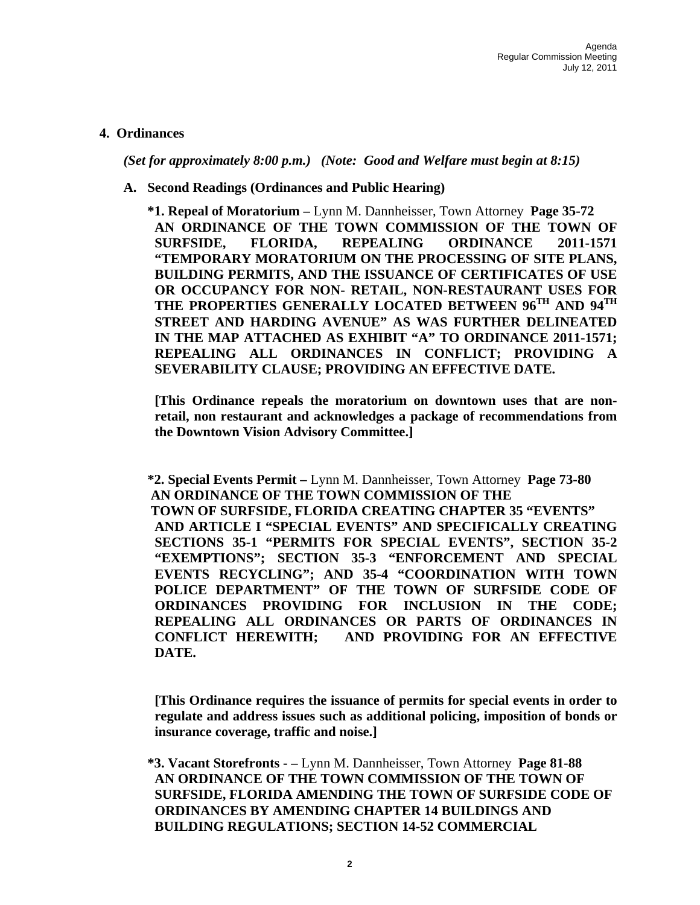### **4. Ordinances**

*(Set for approximately 8:00 p.m.) (Note: Good and Welfare must begin at 8:15)* 

**A. Second Readings (Ordinances and Public Hearing)**

 **\*1. Repeal of Moratorium –** Lynn M. Dannheisser, Town Attorney **Page 35-72 AN ORDINANCE OF THE TOWN COMMISSION OF THE TOWN OF SURFSIDE, FLORIDA, REPEALING ORDINANCE 2011-1571 "TEMPORARY MORATORIUM ON THE PROCESSING OF SITE PLANS, BUILDING PERMITS, AND THE ISSUANCE OF CERTIFICATES OF USE OR OCCUPANCY FOR NON- RETAIL, NON-RESTAURANT USES FOR THE PROPERTIES GENERALLY LOCATED BETWEEN 96TH AND 94TH STREET AND HARDING AVENUE" AS WAS FURTHER DELINEATED IN THE MAP ATTACHED AS EXHIBIT "A" TO ORDINANCE 2011-1571; REPEALING ALL ORDINANCES IN CONFLICT; PROVIDING A SEVERABILITY CLAUSE; PROVIDING AN EFFECTIVE DATE.** 

**[This Ordinance repeals the moratorium on downtown uses that are nonretail, non restaurant and acknowledges a package of recommendations from the Downtown Vision Advisory Committee.]** 

 **\*2. Special Events Permit –** Lynn M. Dannheisser, Town Attorney **Page 73-80 AN ORDINANCE OF THE TOWN COMMISSION OF THE TOWN OF SURFSIDE, FLORIDA CREATING CHAPTER 35 "EVENTS" AND ARTICLE I "SPECIAL EVENTS" AND SPECIFICALLY CREATING SECTIONS 35-1 "PERMITS FOR SPECIAL EVENTS", SECTION 35-2 "EXEMPTIONS"; SECTION 35-3 "ENFORCEMENT AND SPECIAL EVENTS RECYCLING"; AND 35-4 "COORDINATION WITH TOWN POLICE DEPARTMENT" OF THE TOWN OF SURFSIDE CODE OF ORDINANCES PROVIDING FOR INCLUSION IN THE CODE; REPEALING ALL ORDINANCES OR PARTS OF ORDINANCES IN CONFLICT HEREWITH; AND PROVIDING FOR AN EFFECTIVE DATE.** 

**[This Ordinance requires the issuance of permits for special events in order to regulate and address issues such as additional policing, imposition of bonds or insurance coverage, traffic and noise.]** 

 **\*3. Vacant Storefronts - –** Lynn M. Dannheisser, Town Attorney **Page 81-88 AN ORDINANCE OF THE TOWN COMMISSION OF THE TOWN OF SURFSIDE, FLORIDA AMENDING THE TOWN OF SURFSIDE CODE OF ORDINANCES BY AMENDING CHAPTER 14 BUILDINGS AND BUILDING REGULATIONS; SECTION 14-52 COMMERCIAL**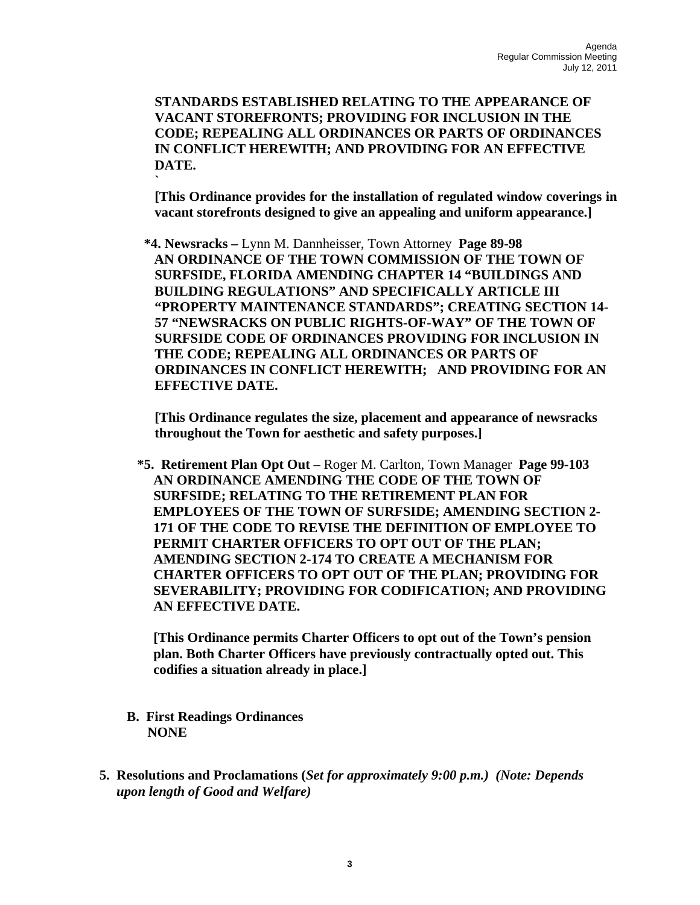**STANDARDS ESTABLISHED RELATING TO THE APPEARANCE OF VACANT STOREFRONTS; PROVIDING FOR INCLUSION IN THE CODE; REPEALING ALL ORDINANCES OR PARTS OF ORDINANCES IN CONFLICT HEREWITH; AND PROVIDING FOR AN EFFECTIVE DATE.** 

**[This Ordinance provides for the installation of regulated window coverings in vacant storefronts designed to give an appealing and uniform appearance.]** 

 **\*4. Newsracks –** Lynn M. Dannheisser, Town Attorney **Page 89-98 AN ORDINANCE OF THE TOWN COMMISSION OF THE TOWN OF SURFSIDE, FLORIDA AMENDING CHAPTER 14 "BUILDINGS AND BUILDING REGULATIONS" AND SPECIFICALLY ARTICLE III "PROPERTY MAINTENANCE STANDARDS"; CREATING SECTION 14- 57 "NEWSRACKS ON PUBLIC RIGHTS-OF-WAY" OF THE TOWN OF SURFSIDE CODE OF ORDINANCES PROVIDING FOR INCLUSION IN THE CODE; REPEALING ALL ORDINANCES OR PARTS OF ORDINANCES IN CONFLICT HEREWITH; AND PROVIDING FOR AN EFFECTIVE DATE.** 

**[This Ordinance regulates the size, placement and appearance of newsracks throughout the Town for aesthetic and safety purposes.]** 

 **\*5. Retirement Plan Opt Out** – Roger M. Carlton, Town Manager **Page 99-103 AN ORDINANCE AMENDING THE CODE OF THE TOWN OF SURFSIDE; RELATING TO THE RETIREMENT PLAN FOR EMPLOYEES OF THE TOWN OF SURFSIDE; AMENDING SECTION 2- 171 OF THE CODE TO REVISE THE DEFINITION OF EMPLOYEE TO PERMIT CHARTER OFFICERS TO OPT OUT OF THE PLAN; AMENDING SECTION 2-174 TO CREATE A MECHANISM FOR CHARTER OFFICERS TO OPT OUT OF THE PLAN; PROVIDING FOR SEVERABILITY; PROVIDING FOR CODIFICATION; AND PROVIDING AN EFFECTIVE DATE.** 

**[This Ordinance permits Charter Officers to opt out of the Town's pension plan. Both Charter Officers have previously contractually opted out. This codifies a situation already in place.]**

 **B. First Readings Ordinances NONE** 

**`** 

 **5. Resolutions and Proclamations (***Set for approximately 9:00 p.m.) (Note: Depends*  *upon length of Good and Welfare)*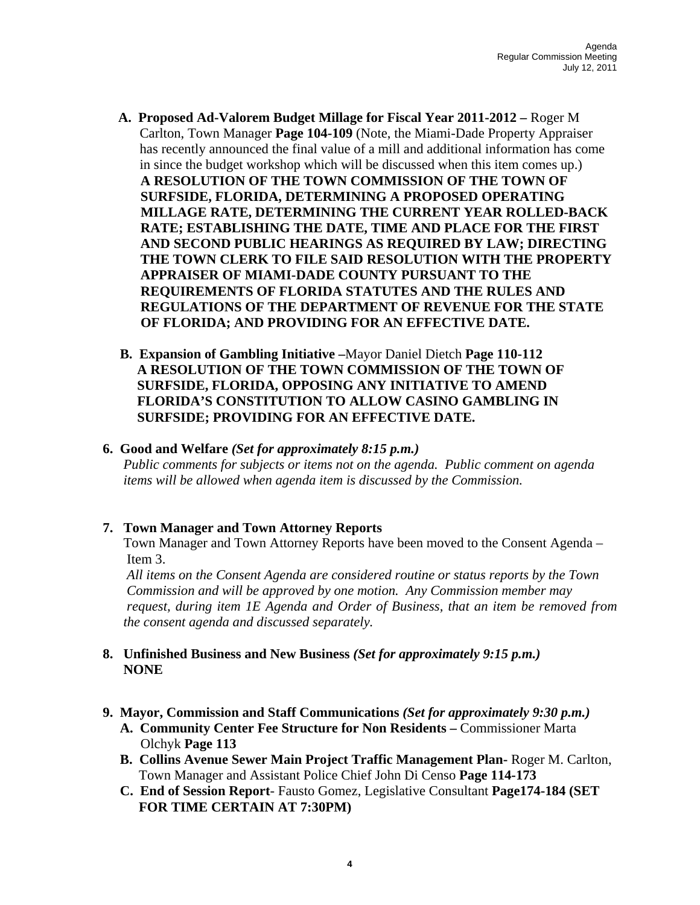- **A. Proposed Ad-Valorem Budget Millage for Fiscal Year 2011-2012** Roger M Carlton, Town Manager **Page 104-109** (Note, the Miami-Dade Property Appraiser has recently announced the final value of a mill and additional information has come in since the budget workshop which will be discussed when this item comes up.)  **A RESOLUTION OF THE TOWN COMMISSION OF THE TOWN OF SURFSIDE, FLORIDA, DETERMINING A PROPOSED OPERATING MILLAGE RATE, DETERMINING THE CURRENT YEAR ROLLED-BACK RATE; ESTABLISHING THE DATE, TIME AND PLACE FOR THE FIRST AND SECOND PUBLIC HEARINGS AS REQUIRED BY LAW; DIRECTING THE TOWN CLERK TO FILE SAID RESOLUTION WITH THE PROPERTY APPRAISER OF MIAMI-DADE COUNTY PURSUANT TO THE REQUIREMENTS OF FLORIDA STATUTES AND THE RULES AND REGULATIONS OF THE DEPARTMENT OF REVENUE FOR THE STATE OF FLORIDA; AND PROVIDING FOR AN EFFECTIVE DATE.**
- **B. Expansion of Gambling Initiative –**Mayor Daniel Dietch **Page 110-112 A RESOLUTION OF THE TOWN COMMISSION OF THE TOWN OF SURFSIDE, FLORIDA, OPPOSING ANY INITIATIVE TO AMEND FLORIDA'S CONSTITUTION TO ALLOW CASINO GAMBLING IN SURFSIDE; PROVIDING FOR AN EFFECTIVE DATE.**

#### **6. Good and Welfare** *(Set for approximately 8:15 p.m.)*

*Public comments for subjects or items not on the agenda. Public comment on agenda items will be allowed when agenda item is discussed by the Commission.* 

# **7. Town Manager and Town Attorney Reports**

Town Manager and Town Attorney Reports have been moved to the Consent Agenda – Item 3.

 *All items on the Consent Agenda are considered routine or status reports by the Town Commission and will be approved by one motion. Any Commission member may request, during item 1E Agenda and Order of Business, that an item be removed from the consent agenda and discussed separately.* 

# **8. Unfinished Business and New Business** *(Set for approximately 9:15 p.m.)* **NONE**

- **9. Mayor, Commission and Staff Communications** *(Set for approximately 9:30 p.m.)* 
	- **A. Community Center Fee Structure for Non Residents** Commissioner Marta Olchyk **Page 113**
	- **B. Collins Avenue Sewer Main Project Traffic Management Plan-** Roger M. Carlton, Town Manager and Assistant Police Chief John Di Censo **Page 114-173**
	- **C. End of Session Report** Fausto Gomez, Legislative Consultant **Page174-184 (SET FOR TIME CERTAIN AT 7:30PM)**